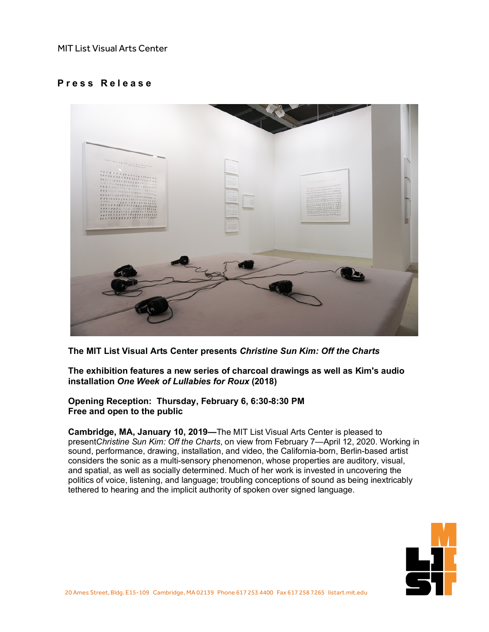## MIT List Visual Arts Center

## **P r e s s R e l e a s e**



**The MIT List Visual Arts Center presents** *Christine Sun Kim: Off the Charts*

**The exhibition features a new series of charcoal drawings as well as Kim's audio installation** *One Week of Lullabies for Roux* **(2018)**

**Opening Reception: Thursday, February 6, 6:30-8:30 PM Free and open to the public**

**Cambridge, MA, January 10, 2019—**The MIT List Visual Arts Center is pleased to present*Christine Sun Kim: Off the Charts*, on view from February 7—April 12, 2020. Working in sound, performance, drawing, installation, and video, the California-born, Berlin-based artist considers the sonic as a multi-sensory phenomenon, whose properties are auditory, visual, and spatial, as well as socially determined. Much of her work is invested in uncovering the politics of voice, listening, and language; troubling conceptions of sound as being inextricably tethered to hearing and the implicit authority of spoken over signed language.

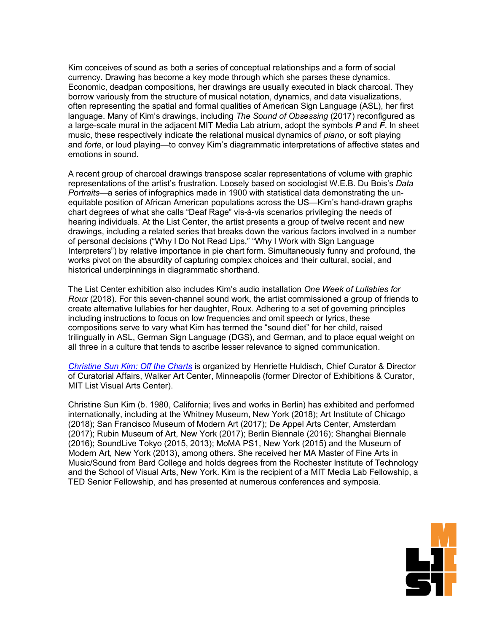Kim conceives of sound as both a series of conceptual relationships and a form of social currency. Drawing has become a key mode through which she parses these dynamics. Economic, deadpan compositions, her drawings are usually executed in black charcoal. They borrow variously from the structure of musical notation, dynamics, and data visualizations, often representing the spatial and formal qualities of American Sign Language (ASL), her first language. Many of Kim's drawings, including *The Sound of Obsessing* (2017) reconfigured as a large-scale mural in the adjacent MIT Media Lab atrium, adopt the symbols *P* and *F*. In sheet music, these respectively indicate the relational musical dynamics of *piano*, or soft playing and *forte*, or loud playing—to convey Kim's diagrammatic interpretations of affective states and emotions in sound.

A recent group of charcoal drawings transpose scalar representations of volume with graphic representations of the artist's frustration. Loosely based on sociologist W.E.B. Du Bois's *Data Portraits*—a series of infographics made in 1900 with statistical data demonstrating the unequitable position of African American populations across the US—Kim's hand-drawn graphs chart degrees of what she calls "Deaf Rage" vis-à-vis scenarios privileging the needs of hearing individuals. At the List Center, the artist presents a group of twelve recent and new drawings, including a related series that breaks down the various factors involved in a number of personal decisions ("Why I Do Not Read Lips," "Why I Work with Sign Language Interpreters") by relative importance in pie chart form. Simultaneously funny and profound, the works pivot on the absurdity of capturing complex choices and their cultural, social, and historical underpinnings in diagrammatic shorthand.

The List Center exhibition also includes Kim's audio installation *One Week of Lullabies for Roux* (2018). For this seven-channel sound work, the artist commissioned a group of friends to create alternative lullabies for her daughter, Roux. Adhering to a set of governing principles including instructions to focus on low frequencies and omit speech or lyrics, these compositions serve to vary what Kim has termed the "sound diet" for her child, raised trilingually in ASL, German Sign Language (DGS), and German, and to place equal weight on all three in a culture that tends to ascribe lesser relevance to signed communication.

*[Christine](https://listart.mit.edu/exhibitions/christine-sun-kim-charts) Sun Kim: Off the Charts* is organized by Henriette Huldisch, Chief Curator & Director of Curatorial Affairs, Walker Art Center, Minneapolis (former Director of Exhibitions & Curator, MIT List Visual Arts Center).

Christine Sun Kim (b. 1980, California; lives and works in Berlin) has exhibited and performed internationally, including at the Whitney Museum, New York (2018); Art Institute of Chicago (2018); San Francisco Museum of Modern Art (2017); De Appel Arts Center, Amsterdam (2017); Rubin Museum of Art, New York (2017); Berlin Biennale (2016); Shanghai Biennale (2016); SoundLive Tokyo (2015, 2013); MoMA PS1, New York (2015) and the Museum of Modern Art, New York (2013), among others. She received her MA Master of Fine Arts in Music/Sound from Bard College and holds degrees from the Rochester Institute of Technology and the School of Visual Arts, New York. Kim is the recipient of a MIT Media Lab Fellowship, a TED Senior Fellowship, and has presented at numerous conferences and symposia.